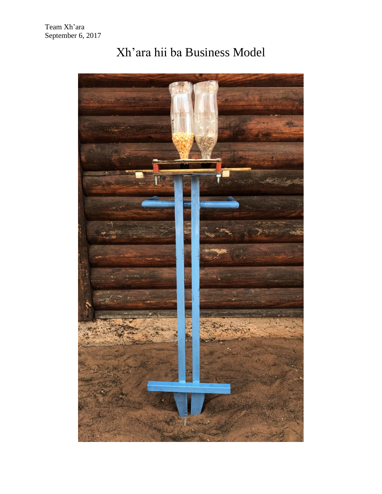

## Xh'ara hii ba Business Model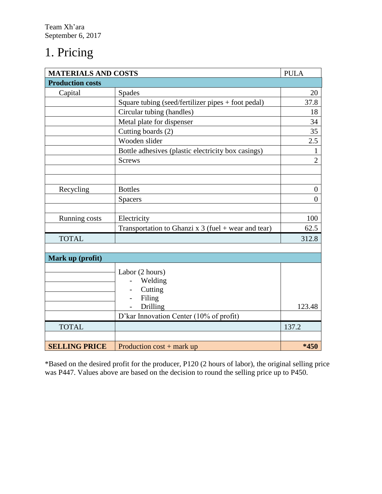### 1. Pricing

| <b>MATERIALS AND COSTS</b> | <b>PULA</b>                                           |                  |  |
|----------------------------|-------------------------------------------------------|------------------|--|
| <b>Production costs</b>    |                                                       |                  |  |
| Capital                    | <b>Spades</b>                                         |                  |  |
|                            | Square tubing (seed/fertilizer pipes + foot pedal)    | 37.8             |  |
|                            | Circular tubing (handles)                             |                  |  |
|                            | Metal plate for dispenser                             | 34               |  |
|                            | Cutting boards (2)                                    |                  |  |
|                            | Wooden slider                                         | 2.5              |  |
|                            | Bottle adhesives (plastic electricity box casings)    |                  |  |
|                            | <b>Screws</b>                                         | $\overline{2}$   |  |
|                            |                                                       |                  |  |
|                            |                                                       |                  |  |
| Recycling                  | <b>Bottles</b>                                        | $\boldsymbol{0}$ |  |
|                            | <b>Spacers</b>                                        | $\overline{0}$   |  |
|                            |                                                       |                  |  |
| Running costs              | Electricity                                           | 100              |  |
|                            | Transportation to Ghanzi x $3$ (fuel + wear and tear) | 62.5             |  |
| <b>TOTAL</b>               |                                                       |                  |  |
|                            |                                                       |                  |  |
| Mark up (profit)           |                                                       |                  |  |
|                            | Labor (2 hours)                                       |                  |  |
|                            | Welding                                               |                  |  |
|                            | Cutting                                               |                  |  |
|                            | Filing                                                |                  |  |
|                            | Drilling                                              | 123.48           |  |
|                            | D'kar Innovation Center (10% of profit)               |                  |  |
| <b>TOTAL</b>               |                                                       |                  |  |
|                            |                                                       |                  |  |
| <b>SELLING PRICE</b>       | Production $cost + mark up$                           | $*450$           |  |

\*Based on the desired profit for the producer, P120 (2 hours of labor), the original selling price was P447. Values above are based on the decision to round the selling price up to P450.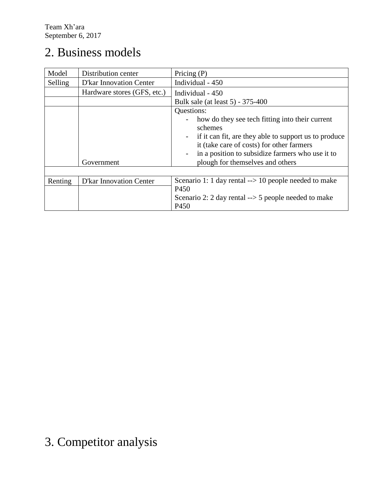### 2. Business models

| Model   | Distribution center            | Pricing $(P)$                                                   |  |  |
|---------|--------------------------------|-----------------------------------------------------------------|--|--|
| Selling | <b>D'kar Innovation Center</b> | Individual - 450                                                |  |  |
|         | Hardware stores (GFS, etc.)    | Individual - 450                                                |  |  |
|         |                                | Bulk sale (at least 5) - 375-400                                |  |  |
|         | Questions:                     |                                                                 |  |  |
|         |                                | how do they see tech fitting into their current                 |  |  |
|         |                                | schemes                                                         |  |  |
|         |                                | if it can fit, are they able to support us to produce           |  |  |
|         |                                | it (take care of costs) for other farmers                       |  |  |
|         |                                | in a position to subsidize farmers who use it to                |  |  |
|         | Government                     | plough for themselves and others                                |  |  |
|         |                                |                                                                 |  |  |
| Renting | <b>D'kar Innovation Center</b> | Scenario 1: 1 day rental $\rightarrow$ 10 people needed to make |  |  |
|         |                                | P <sub>450</sub>                                                |  |  |
|         |                                | Scenario 2: 2 day rental $\rightarrow$ 5 people needed to make  |  |  |
|         |                                | P <sub>450</sub>                                                |  |  |

# 3. Competitor analysis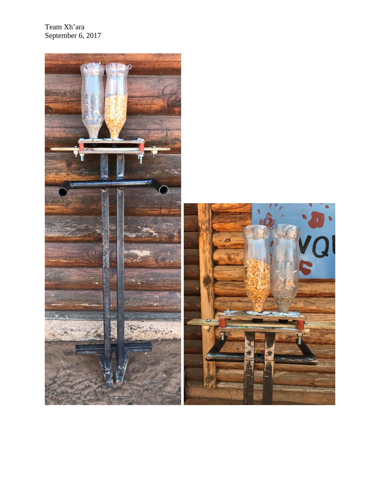Team Xh'ara September 6, 2017